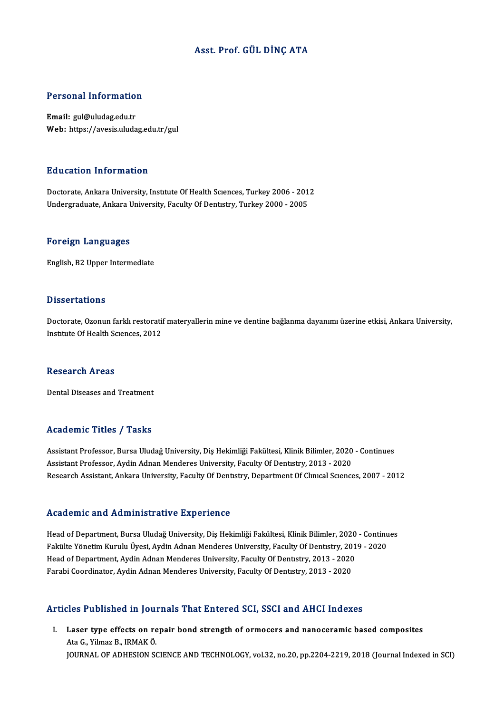# Asst. Prof. GÜLDİNÇ ATA

# Personal Information

Email: gul@uludag.edu.tr Web: https://avesis.uludag.edu.tr/gul

# Education Information

Education Information<br>Doctorate, Ankara University, Institute Of Health Sciences, Turkey 2006 - 2012<br>Undergraduate Ankara University, Faculty Of Dentistry, Turkey 2000 - 2005 Luusation Throt musion<br>Doctorate, Ankara University, Institute Of Health Sciences, Turkey 2006 - 201<br>Undergraduate, Ankara University, Faculty Of Dentistry, Turkey 2000 - 2005 Undergraduate, Ankara University, Faculty Of Dentistry, Turkey 2000 - 2005<br>Foreign Languages

English, B2 Upper Intermediate

# **Dissertations**

Dissertations<br>Doctorate, Ozonun farklı restoratif materyallerin mine ve dentine bağlanma dayanımı üzerine etkisi, Ankara University,<br>Institute Of Heelth Savances, 2012 2 19901 tatrone<br>Doctorate, Ozonun farklı restorati<br>Institute Of Health Sciences, 2012 Institute Of Health Sciences, 2012<br>Research Areas

Dental Diseases and Treatment

# Academic Titles / Tasks

Academic Titles / Tasks<br>Assistant Professor, Bursa Uludağ University, Diş Hekimliği Fakültesi, Klinik Bilimler, 2020 - Continues<br>Assistant Professor, Avdin Adnan Mandanes University, Fasulty Of Dentstwy 2013 - 2020 Assistant Professor, Bursa Uludağ University, Diş Hekimliği Fakültesi, Klinik Bilimler, 2020<br>Assistant Professor, Aydin Adnan Menderes University, Faculty Of Dentıstry, 2013 - 2020<br>Pessarah Assistant, Ankara University, Fa Assistant Professor, Aydin Adnan Menderes University, Faculty Of Dentistry, 2013 - 2020<br>Research Assistant, Ankara University, Faculty Of Dentistry, Department Of Clinical Sciences, 2007 - 2012

### Academic and Administrative Experience

Academic and Administrative Experience<br>Head of Department, Bursa Uludağ University, Diş Hekimliği Fakültesi, Klinik Bilimler, 2020 - Continues<br>Fakülte Yönetim Kurulu Üvesi, Aydin Adnan Menderes University, Fasulty Of Dents ricuu chine unu frumministrutive lingvi rence<br>Head of Department, Bursa Uludağ University, Diş Hekimliği Fakültesi, Klinik Bilimler, 2020 - Continu<br>Fakülte Yönetim Kurulu Üyesi, Aydin Adnan Menderes University, Faculty Of Head of Department, Bursa Uludağ University, Diş Hekimliği Fakültesi, Klinik Bilimler, 2020<br>Fakülte Yönetim Kurulu Üyesi, Aydin Adnan Menderes University, Faculty Of Dentıstry, 2013<br>Head of Department, Aydin Adnan Menderes Fakülte Yönetim Kurulu Üyesi, Aydin Adnan Menderes University, Faculty Of Dentıstry, 2019 - 2020<br>Head of Department, Aydin Adnan Menderes University, Faculty Of Dentıstry, 2013 - 2020<br>Farabi Coordinator, Aydin Adnan Mender

# Articles Published in Journals That Entered SCI, SSCI and AHCI Indexes

rticles Published in Journals That Entered SCI, SSCI and AHCI Indexes<br>I. Laser type effects on repair bond strength of ormocers and nanoceramic based composites Mes Tublished in Jou.<br>Laser type effects on re<br>Ata G., Yilmaz B., IRMAKÖ. Ata G., Yilmaz B., IRMAK Ö.<br>JOURNAL OF ADHESION SCIENCE AND TECHNOLOGY, vol.32, no.20, pp.2204-2219, 2018 (Journal Indexed in SCI)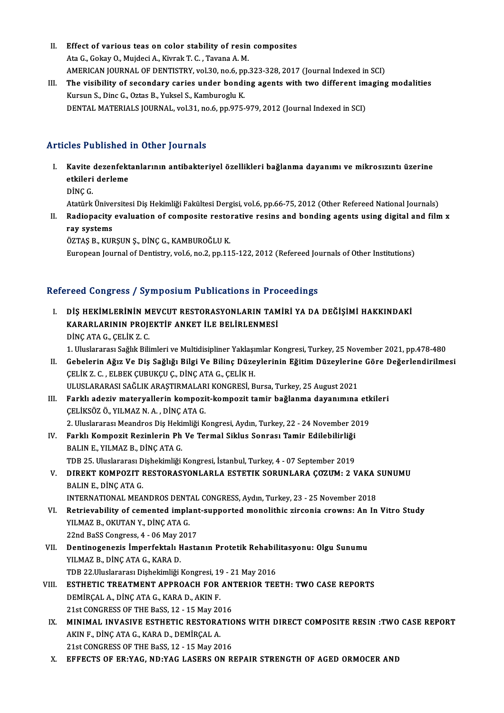- II. Effect of various teas on color stability of resin composites<br>Ato G Gelru O, Muideri A, Viumel: T. G. Tayana A, M. Effect of various teas on color stability of resin<br>Ata G., Gokay O., Mujdeci A., Kivrak T. C. , Tavana A. M.<br>AMERICAN JOURNAL OF DENTISTRY, vol 20, po 6, pp. Effect of various teas on color stability of resin composites<br>Ata G., Gokay O., Mujdeci A., Kivrak T. C. , Tavana A. M.<br>AMERICAN JOURNAL OF DENTISTRY, vol.30, no.6, pp.323-328, 2017 (Journal Indexed in SCI)<br>The visibility Ata G., Gokay O., Mujdeci A., Kivrak T. C. , Tavana A. M.<br>AMERICAN JOURNAL OF DENTISTRY, vol.30, no.6, pp.323-328, 2017 (Journal Indexed in SCI)<br>III. The visibility of secondary caries under bonding agents with two differe
- AMERICAN JOURNAL OF DENTISTRY, vol.30, no.6, pp<br>The visibility of secondary caries under bondi<br>Kursun S., Dinc G., Oztas B., Yuksel S., Kamburoglu K.<br>DENTAL MATERIALS JOURNAL, vol.31, no.6, np.975 The visibility of secondary caries under bonding agents with two different im<br>Kursun S., Dinc G., Oztas B., Yuksel S., Kamburoglu K.<br>DENTAL MATERIALS JOURNAL, vol.31, no.6, pp.975-979, 2012 (Journal Indexed in SCI) DENTAL MATERIALS JOURNAL, vol.31, no.6, pp.975-979, 2012 (Journal Indexed in SCI)<br>Articles Published in Other Journals

- rticles Published in Other Journals<br>I. Kavite dezenfektanlarının antibakteriyel özellikleri bağlanma dayanımı ve mikrosızıntı üzerine<br>Attileri derleme etes i dististică<br>Kavite dezenfekt<br>etkileri derleme<br>D<sup>iNC C</sup> Kavite<br>etkileri<br>DİNÇ G. etkileri derleme<br>DİNÇ G.<br>Atatürk Üniversitesi Diş Hekimliği Fakültesi Dergisi, vol.6, pp.66-75, 2012 (Other Refereed National Journals) DİNÇ G.<br>Atatürk Üniversitesi Diş Hekimliği Fakültesi Dergisi, vol.6, pp.66-75, 2012 (Other Refereed National Journals)<br>II. Radiopacity evaluation of composite restorative resins and bonding agents using digital and fil
- Atatürk Ünive<br>Radiopacity<br>ray systems<br>ÖZTAS R. KUI ÖZTAŞ B., KURŞUN Ş., DİNÇ G., KAMBUROĞLU K.

European Journal of Dentistry, vol.6, no.2, pp.115-122, 2012 (Refereed Journals of Other Institutions)

# Refereed Congress / Symposium Publications in Proceedings

efereed Congress / Symposium Publications in Proceedings<br>I. DİŞ HEKİMLERİNİN MEVCUT RESTORASYONLARIN TAMİRİ YA DA DEĞİŞİMİ HAKKINDAKİ<br>KARARI ARININ PROJEKTİE ANKET İLE RELİRI ENMESİ TOOR OORGIOSOT OJ INPODIAM TABRORISININ ITTO<br>DİŞ HEKİMLERİNİN MEVCUT RESTORASYONLARIN TAM<br>KARARLARININ PROJEKTİF ANKET İLE BELİRLENMESİ DİŞ HEKİMLERİNİN M<br>KARARLARININ PROJI<br>DİNÇ ATA G., ÇELİK Z. C.<br>1. Hivelararay Sağlık Bili KARARLARININ PROJEKTİF ANKET İLE BELİRLENMESİ<br>DİNÇ ATA G., ÇELİK Z. C.<br>1. Uluslararası Sağlık Bilimleri ve Multidisipliner Yaklaşımlar Kongresi, Turkey, 25 November 2021, pp.478-480

- DİNÇ ATA G., ÇELİK Z. C.<br>1. Uluslararası Sağlık Bilimleri ve Multidisipliner Yaklaşımlar Kongresi, Turkey, 25 November 2021, pp.478-480<br>II. Gebelerin Ağız Ve Diş Sağlığı Bilgi Ve Bilinç Düzeylerinin Eğitim Düzeylerine 1. Uluslararası Sağlık Bilimleri ve Multidisipliner Yaklaşı<br>Gebelerin Ağız Ve Diş Sağlığı Bilgi Ve Bilinç Düze<br>ÇELİK Z. C. , ELBEK ÇUBUKÇU Ç., DİNÇ ATA G., ÇELİK H.<br>ULUSLARARASI SAĞLIK ARASTIRMALARI KONCRESİ R Gebelerin Ağız Ve Diş Sağlığı Bilgi Ve Bilinç Düzeylerinin Eğitim Düzeylerine<br>ÇELİK Z. C. , ELBEK ÇUBUKÇU Ç., DİNÇ ATA G., ÇELİK H.<br>ULUSLARARASI SAĞLIK ARAŞTIRMALARI KONGRESİ, Bursa, Turkey, 25 August 2021<br>Farklı adariy ma CELİK Z. C. , ELBEK ÇUBUKÇU Ç., DİNÇ ATA G., ÇELİK H.<br>ULUSLARARASI SAĞLIK ARAŞTIRMALARI KONGRESİ, Bursa, Turkey, 25 August 2021<br>III. Farklı adeziv materyallerin kompozit-kompozit tamir bağlanma dayanımına etkileri<br>CELİ
- ULUSLARARASI SAĞLIK ARAŞTIRMALARI KONGRESİ, Bursa, Turkey, 25 August 2021<br>Farklı adeziv materyallerin kompozit-kompozit tamir bağlanma dayanımına et<br>ÇELİKSÖZ Ö., YILMAZ N. A. , DİNÇ ATA G.<br>2. Uluslararası Meandros Diş Heki Farklı adeziv materyallerin kompozit-kompozit tamir bağlanma dayanımına etk<br>ÇELİKSÖZ Ö., YILMAZ N. A. , DİNÇ ATA G.<br>2. Uluslararası Meandros Diş Hekimliği Kongresi, Aydın, Turkey, 22 - 24 November 2019<br>Farklı Kompozit Bezi
	-
- CELİKSÖZ Ö., YILMAZ N. A. , DİNÇ ATA G.<br>2. Uluslararası Meandros Diş Hekimliği Kongresi, Aydın, Turkey, 22 24 November 2<br>IV. Farklı Kompozit Rezinlerin Ph Ve Termal Siklus Sonrası Tamir Edilebilirliği 2. Uluslararası Meandros Diş Heki<br>Farklı Kompozit Rezinlerin Ph<br>BALIN E., YILMAZ B., DİNÇ ATA G.<br>TDP 25. Uluslararası Dishekimliği Farklı Kompozit Rezinlerin Ph Ve Termal Siklus Sonrası Tamir Edilebilirliği<br>BALIN E., YILMAZ B., DİNÇ ATA G.<br>TDB 25. Uluslararası Dişhekimliği Kongresi, İstanbul, Turkey, 4 - 07 September 2019<br>DIREKT KOMPOZIT RESTORASYONI
- BALIN E., YILMAZ B., DİNÇ ATA G.<br>TDB 25. Uluslararası Dişhekimliği Kongresi, İstanbul, Turkey, 4 07 September 2019<br>V. DIREKT KOMPOZIT RESTORASYONLARLA ESTETIK SORUNLARA ÇOZUM: 2 VAKA SUNUMU<br>RALINE, DİNÇ ATA C TDB 25. Uluslararası D<br>DIREKT KOMPOZIT I<br>BALIN E., DİNÇ ATA G.<br>INTERNATIONAL MEA DIREKT KOMPOZIT RESTORASYONLARLA ESTETIK SORUNLARA ÇOZUM: 2 VAKA :<br>BALIN E., DİNÇ ATA G.<br>INTERNATIONAL MEANDROS DENTAL CONGRESS, Aydın, Turkey, 23 - 25 November 2018<br>Betriovehility of comented implent supported monolithis

- BALIN E., DİNÇ ATA G.<br>INTERNATIONAL MEANDROS DENTAL CONGRESS, Aydın, Turkey, 23 25 November 2018<br>VI. Retrievability of cemented implant-supported monolithic zirconia crowns: An In Vitro Study<br>VII MAZ B. OKUTAN V. DİNG AT INTERNATIONAL MEANDROS DENTAL CONGRESS, Aydın, Turkey, 23 - 25 November 2018<br>Retrievability of cemented implant-supported monolithic zirconia crowns: An In<br>YILMAZ B., OKUTAN Y., DİNÇ ATA G.<br>22nd BaSS Congress, 4 - 06 May 2 Retrievability of cemented implant<br>YILMAZ B., OKUTAN Y., DİNÇ ATA G.<br>22nd BaSS Congress, 4 - 06 May 2017<br>Dentineseneris İmperfektelı Hesta YILMAZ B., OKUTAN Y., DİNÇ ATA G.<br>22nd BaSS Congress, 4 - 06 May 2017<br>VII. Dentinogenezis İmperfektalı Hastanın Protetik Rehabilitasyonu: Olgu Sunumu<br>VII MAZ B. DİNÇ ATA Ç. KARA D.
- 22nd BaSS Congress, 4 06 May 2<br>Dentinogenezis İmperfektalı F<br>YILMAZ B., DİNÇ ATA G., KARA D.<br>TDP 22 Uluslararası Diskekimliği Dentinogenezis İmperfektalı Hastanın Protetik Rehabil<br>YILMAZ B., DİNÇ ATA G., KARA D.<br>TDB 22.Uluslararası Dişhekimliği Kongresi, 19 - 21 May 2016<br>ESTHETIC TREATMENT ARRROACH EOR ANTERIOR TEE YILMAZ B., DİNÇ ATA G., KARA D.<br>TDB 22.Uluslararası Dişhekimliği Kongresi, 19 - 21 May 2016<br>VIII. ESTHETIC TREATMENT APPROACH FOR ANTERIOR TEETH: TWO CASE REPORTS
- TDB 22.Uluslararası Dişhekimliği Kongresi, 19<br>ESTHETIC TREATMENT APPROACH FOR<br>DEMİRÇAL A., DİNÇ ATA G., KARA D., AKIN F.<br>21st CONGRESS OF THE PaSS 12 15 May 20 ESTHETIC TREATMENT APPROACH FOR AN'<br>DEMİRÇAL A., DİNÇ ATA G., KARA D., AKIN F.<br>21st CONGRESS OF THE BaSS, 12 - 15 May 2016<br>MINIMAL INVASIVE ESTHETIC PESTOPATIC 21st CONGRESS OF THE BaSS, 12 - 15 May 2016
- IX. MINIMAL INVASIVE ESTHETIC RESTORATIONS WITH DIRECT COMPOSITE RESIN :TWO CASE REPORT AKIN F., DINC ATA G., KARA D., DEMIRCAL A. 21st CONGRESS OF THE BaSS, 12 - 15 May 2016
- X. EFFECTS OF ER:YAG, ND:YAG LASERS ON REPAIR STRENGTH OF AGED ORMOCER AND